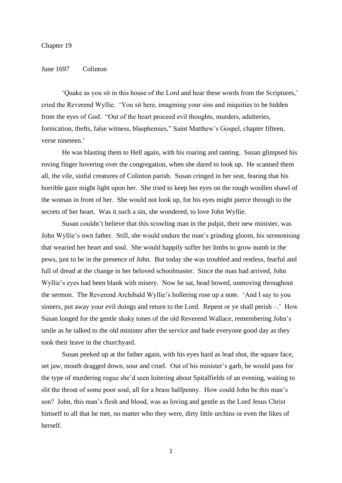#### Chapter 19

### June 1697 Colinton

'Quake as you sit in this house of the Lord and hear these words from the Scriptures,' cried the Reverend Wyllie. 'You sit here, imagining your sins and iniquities to be hidden from the eyes of God. "Out of the heart proceed evil thoughts, murders, adulteries, fornication, thefts, false witness, blasphemies," Saint Matthew's Gospel, chapter fifteen, verse nineteen.'

He was blasting them to Hell again, with his roaring and ranting. Susan glimpsed his roving finger hovering over the congregation, when she dared to look up. He scanned them all, the vile, sinful creatures of Colinton parish. Susan cringed in her seat, fearing that his horrible gaze might light upon her. She tried to keep her eyes on the rough woollen shawl of the woman in front of her. She would not look up, for his eyes might pierce through to the secrets of her heart. Was it such a sin, she wondered, to love John Wyllie.

Susan couldn't believe that this scowling man in the pulpit, their new minister, was John Wyllie's own father. Still, she would endure the man's grinding gloom, his sermonising that wearied her heart and soul. She would happily suffer her limbs to grow numb in the pews, just to be in the presence of John. But today she was troubled and restless, fearful and full of dread at the change in her beloved schoolmaster. Since the man had arrived, John Wyllie's eyes had been blank with misery. Now he sat, head bowed, unmoving throughout the sermon. The Reverend Archibald Wyllie's hollering rose up a note. 'And I say to you sinners, put away your evil doings and return to the Lord. Repent or ye shall perish –.' How Susan longed for the gentle shaky tones of the old Reverend Wallace, remembering John's smile as he talked to the old minister after the service and bade everyone good day as they took their leave in the churchyard.

Susan peeked up at the father again, with his eyes hard as lead shot, the square face, set jaw, mouth dragged down, sour and cruel. Out of his minister's garb, he would pass for the type of murdering rogue she'd seen loitering about Spitalfields of an evening, waiting to slit the throat of some poor soul, all for a brass halfpenny. How could John be this man's son? John, this man's flesh and blood, was as loving and gentle as the Lord Jesus Christ himself to all that he met, no matter who they were, dirty little urchins or even the likes of herself.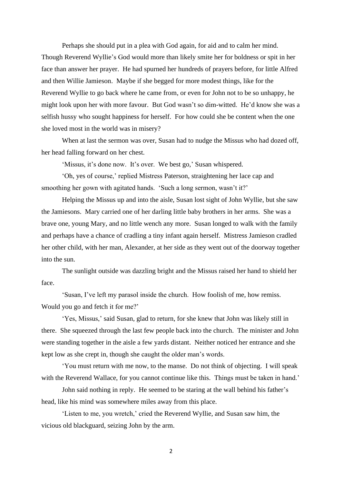Perhaps she should put in a plea with God again, for aid and to calm her mind. Though Reverend Wyllie's God would more than likely smite her for boldness or spit in her face than answer her prayer. He had spurned her hundreds of prayers before, for little Alfred and then Willie Jamieson. Maybe if she begged for more modest things, like for the Reverend Wyllie to go back where he came from, or even for John not to be so unhappy, he might look upon her with more favour. But God wasn't so dim-witted. He'd know she was a selfish hussy who sought happiness for herself. For how could she be content when the one she loved most in the world was in misery?

When at last the sermon was over, Susan had to nudge the Missus who had dozed off, her head falling forward on her chest.

'Missus, it's done now. It's over. We best go,' Susan whispered.

'Oh, yes of course,' replied Mistress Paterson, straightening her lace cap and smoothing her gown with agitated hands. 'Such a long sermon, wasn't it?'

Helping the Missus up and into the aisle, Susan lost sight of John Wyllie, but she saw the Jamiesons. Mary carried one of her darling little baby brothers in her arms. She was a brave one, young Mary, and no little wench any more. Susan longed to walk with the family and perhaps have a chance of cradling a tiny infant again herself. Mistress Jamieson cradled her other child, with her man, Alexander, at her side as they went out of the doorway together into the sun.

The sunlight outside was dazzling bright and the Missus raised her hand to shield her face.

'Susan, I've left my parasol inside the church. How foolish of me, how remiss. Would you go and fetch it for me?'

'Yes, Missus,' said Susan, glad to return, for she knew that John was likely still in there. She squeezed through the last few people back into the church. The minister and John were standing together in the aisle a few yards distant. Neither noticed her entrance and she kept low as she crept in, though she caught the older man's words.

'You must return with me now, to the manse. Do not think of objecting. I will speak with the Reverend Wallace, for you cannot continue like this. Things must be taken in hand.'

John said nothing in reply. He seemed to be staring at the wall behind his father's head, like his mind was somewhere miles away from this place.

'Listen to me, you wretch,' cried the Reverend Wyllie, and Susan saw him, the vicious old blackguard, seizing John by the arm.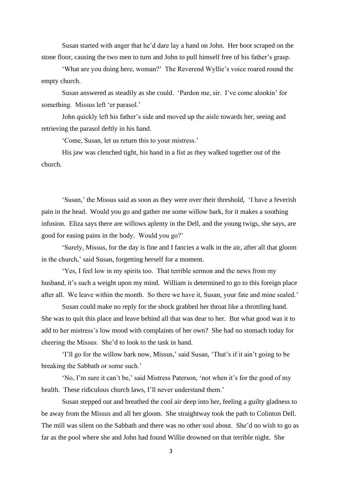Susan started with anger that he'd dare lay a hand on John. Her boot scraped on the stone floor, causing the two men to turn and John to pull himself free of his father's grasp.

'What are you doing here, woman?' The Reverend Wyllie's voice roared round the empty church.

Susan answered as steadily as she could. 'Pardon me, sir. I've come alookin' for something. Missus left 'er parasol.'

John quickly left his father's side and moved up the aisle towards her, seeing and retrieving the parasol deftly in his hand.

'Come, Susan, let us return this to your mistress.'

His jaw was clenched tight, his hand in a fist as they walked together out of the church.

'Susan,' the Missus said as soon as they were over their threshold, 'I have a feverish pain in the head. Would you go and gather me some willow bark, for it makes a soothing infusion. Eliza says there are willows aplenty in the Dell, and the young twigs, she says, are good for easing pains in the body. Would you go?'

'Surely, Missus, for the day is fine and I fancies a walk in the air, after all that gloom in the church,' said Susan, forgetting herself for a moment.

'Yes, I feel low in my spirits too. That terrible sermon and the news from my husband, it's such a weight upon my mind. William is determined to go to this foreign place after all. We leave within the month. So there we have it, Susan, your fate and mine sealed.'

Susan could make no reply for the shock grabbed her throat like a throttling hand. She was to quit this place and leave behind all that was dear to her. But what good was it to add to her mistress's low mood with complaints of her own? She had no stomach today for cheering the Missus. She'd to look to the task in hand.

'I'll go for the willow bark now, Missus,' said Susan, 'That's if it ain't going to be breaking the Sabbath or some such.'

'No, I'm sure it can't be,' said Mistress Paterson, 'not when it's for the good of my health. These ridiculous church laws, I'll never understand them.'

Susan stepped out and breathed the cool air deep into her, feeling a guilty gladness to be away from the Missus and all her gloom. She straightway took the path to Colinton Dell. The mill was silent on the Sabbath and there was no other soul about. She'd no wish to go as far as the pool where she and John had found Willie drowned on that terrible night. She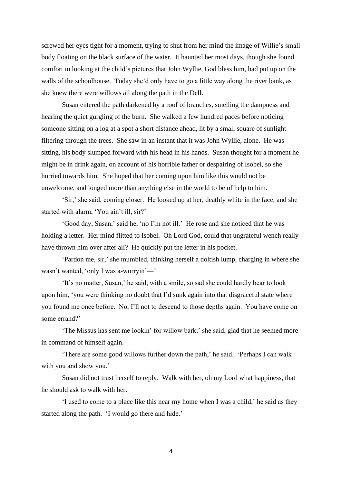screwed her eyes tight for a moment, trying to shut from her mind the image of Willie's small body floating on the black surface of the water. It haunted her most days, though she found comfort in looking at the child's pictures that John Wyllie, God bless him, had put up on the walls of the schoolhouse. Today she'd only have to go a little way along the river bank, as she knew there were willows all along the path in the Dell.

Susan entered the path darkened by a roof of branches, smelling the dampness and hearing the quiet gurgling of the burn. She walked a few hundred paces before noticing someone sitting on a log at a spot a short distance ahead, lit by a small square of sunlight filtering through the trees. She saw in an instant that it was John Wyllie, alone. He was sitting, his body slumped forward with his head in his hands. Susan thought for a moment he might be in drink again, on account of his horrible father or despairing of Isobel, so she hurried towards him. She hoped that her coming upon him like this would not be unwelcome, and longed more than anything else in the world to be of help to him.

'Sir,' she said, coming closer. He looked up at her, deathly white in the face, and she started with alarm, 'You ain't ill, sir?'

'Good day, Susan,' said he, 'no I'm not ill.' He rose and she noticed that he was holding a letter. Her mind flitted to Isobel. Oh Lord God, could that ungrateful wench really have thrown him over after all? He quickly put the letter in his pocket.

'Pardon me, sir,' she mumbled, thinking herself a doltish lump, charging in where she wasn't wanted, 'only I was a-worryin'―'

'It's no matter, Susan,' he said, with a smile, so sad she could hardly bear to look upon him, 'you were thinking no doubt that I'd sunk again into that disgraceful state where you found me once before. No, I'll not to descend to those depths again. You have come on some errand?'

'The Missus has sent me lookin' for willow bark,' she said, glad that he seemed more in command of himself again.

'There are some good willows further down the path,' he said. 'Perhaps I can walk with you and show you.'

Susan did not trust herself to reply. Walk with her, oh my Lord what happiness, that he should ask to walk with her.

'I used to come to a place like this near my home when I was a child,' he said as they started along the path. 'I would go there and hide.'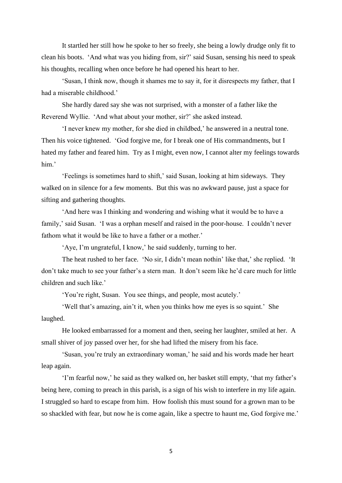It startled her still how he spoke to her so freely, she being a lowly drudge only fit to clean his boots. 'And what was you hiding from, sir?' said Susan, sensing his need to speak his thoughts, recalling when once before he had opened his heart to her.

'Susan, I think now, though it shames me to say it, for it disrespects my father, that I had a miserable childhood.'

She hardly dared say she was not surprised, with a monster of a father like the Reverend Wyllie. 'And what about your mother, sir?' she asked instead.

'I never knew my mother, for she died in childbed,' he answered in a neutral tone. Then his voice tightened. 'God forgive me, for I break one of His commandments, but I hated my father and feared him. Try as I might, even now, I cannot alter my feelings towards him.'

'Feelings is sometimes hard to shift,' said Susan, looking at him sideways. They walked on in silence for a few moments. But this was no awkward pause, just a space for sifting and gathering thoughts.

'And here was I thinking and wondering and wishing what it would be to have a family,' said Susan. 'I was a orphan meself and raised in the poor-house. I couldn't never fathom what it would be like to have a father or a mother.'

'Aye, I'm ungrateful, I know,' he said suddenly, turning to her.

The heat rushed to her face. 'No sir, I didn't mean nothin' like that,' she replied. 'It don't take much to see your father's a stern man. It don't seem like he'd care much for little children and such like.'

'You're right, Susan. You see things, and people, most acutely.'

'Well that's amazing, ain't it, when you thinks how me eyes is so squint.' She laughed.

He looked embarrassed for a moment and then, seeing her laughter, smiled at her. A small shiver of joy passed over her, for she had lifted the misery from his face.

'Susan, you're truly an extraordinary woman,' he said and his words made her heart leap again.

'I'm fearful now,' he said as they walked on, her basket still empty, 'that my father's being here, coming to preach in this parish, is a sign of his wish to interfere in my life again. I struggled so hard to escape from him. How foolish this must sound for a grown man to be so shackled with fear, but now he is come again, like a spectre to haunt me, God forgive me.'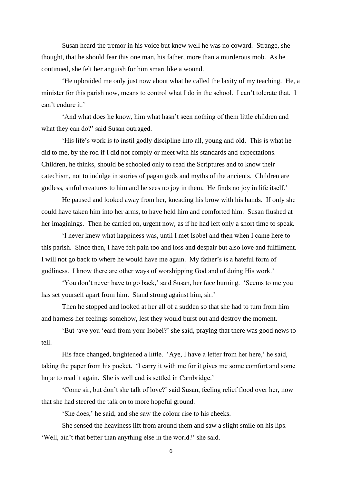Susan heard the tremor in his voice but knew well he was no coward. Strange, she thought, that he should fear this one man, his father, more than a murderous mob. As he continued, she felt her anguish for him smart like a wound.

'He upbraided me only just now about what he called the laxity of my teaching. He, a minister for this parish now, means to control what I do in the school. I can't tolerate that. I can't endure it.'

'And what does he know, him what hasn't seen nothing of them little children and what they can do?' said Susan outraged.

'His life's work is to instil godly discipline into all, young and old. This is what he did to me, by the rod if I did not comply or meet with his standards and expectations. Children, he thinks, should be schooled only to read the Scriptures and to know their catechism, not to indulge in stories of pagan gods and myths of the ancients. Children are godless, sinful creatures to him and he sees no joy in them. He finds no joy in life itself.'

He paused and looked away from her, kneading his brow with his hands. If only she could have taken him into her arms, to have held him and comforted him. Susan flushed at her imaginings. Then he carried on, urgent now, as if he had left only a short time to speak.

'I never knew what happiness was, until I met Isobel and then when I came here to this parish. Since then, I have felt pain too and loss and despair but also love and fulfilment. I will not go back to where he would have me again. My father's is a hateful form of godliness. I know there are other ways of worshipping God and of doing His work.'

'You don't never have to go back,' said Susan, her face burning. 'Seems to me you has set yourself apart from him. Stand strong against him, sir.'

Then he stopped and looked at her all of a sudden so that she had to turn from him and harness her feelings somehow, lest they would burst out and destroy the moment.

'But 'ave you 'eard from your Isobel?' she said, praying that there was good news to tell.

His face changed, brightened a little. 'Aye, I have a letter from her here,' he said, taking the paper from his pocket. 'I carry it with me for it gives me some comfort and some hope to read it again. She is well and is settled in Cambridge.'

'Come sir, but don't she talk of love?' said Susan, feeling relief flood over her, now that she had steered the talk on to more hopeful ground.

'She does,' he said, and she saw the colour rise to his cheeks.

She sensed the heaviness lift from around them and saw a slight smile on his lips. 'Well, ain't that better than anything else in the world?' she said.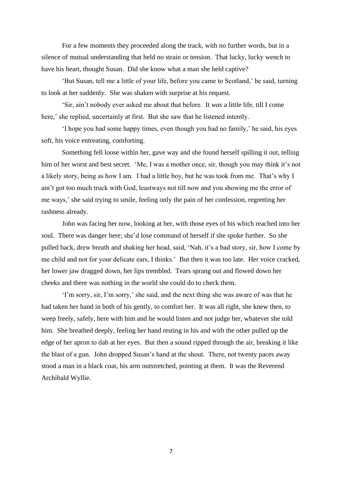For a few moments they proceeded along the track, with no further words, but in a silence of mutual understanding that held no strain or tension. That lucky, lucky wench to have his heart, thought Susan. Did she know what a man she held captive?

'But Susan, tell me a little of your life, before you came to Scotland,' he said, turning to look at her suddenly. She was shaken with surprise at his request.

'Sir, ain't nobody ever asked me about that before. It *was* a little life, till I come here,' she replied, uncertainly at first. But she saw that he listened intently.

'I hope you had some happy times, even though you had no family,' he said, his eyes soft, his voice entreating, comforting.

Something fell loose within her, gave way and she found herself spilling it out, telling him of her worst and best secret. 'Me, I was a mother once, sir, though you may think it's not a likely story, being as how I am. I had a little boy, but he was took from me. That's why I ain't got too much truck with God, leastways not till now and you showing me the error of me ways,' she said trying to smile, feeling only the pain of her confession, regretting her rashness already.

John was facing her now, looking at her, with those eyes of his which reached into her soul. There was danger here; she'd lose command of herself if she spoke further. So she pulled back, drew breath and shaking her head, said, 'Nah, it's a bad story, sir, how I come by me child and not for your delicate ears, I thinks.' But then it was too late. Her voice cracked, her lower jaw dragged down, her lips trembled. Tears sprang out and flowed down her cheeks and there was nothing in the world she could do to check them.

'I'm sorry, sir, I'm sorry,' she said, and the next thing she was aware of was that he had taken her hand in both of his gently, to comfort her. It was all right, she knew then, to weep freely, safely, here with him and he would listen and not judge her, whatever she told him. She breathed deeply, feeling her hand resting in his and with the other pulled up the edge of her apron to dab at her eyes. But then a sound ripped through the air, breaking it like the blast of a gun. John dropped Susan's hand at the shout. There, not twenty paces away stood a man in a black coat, his arm outstretched, pointing at them. It was the Reverend Archibald Wyllie.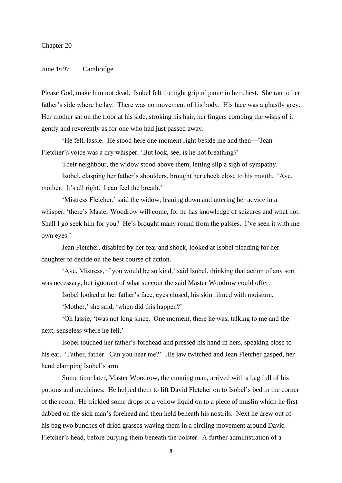### Chapter 20

### June 1697 Cambridge

Please God, make him not dead. Isobel felt the tight grip of panic in her chest. She ran to her father's side where he lay. There was no movement of his body. His face was a ghastly grey. Her mother sat on the floor at his side, stroking his hair, her fingers combing the wisps of it gently and reverently as for one who had just passed away.

'He fell, lassie. He stood here one moment right beside me and then―'Jean Fletcher's voice was a dry whisper. 'But look, see, is he not breathing?'

Their neighbour, the widow stood above them, letting slip a sigh of sympathy.

Isobel, clasping her father's shoulders, brought her cheek close to his mouth. 'Aye, mother. It's all right. I can feel the breath.'

'Mistress Fletcher,' said the widow, leaning down and uttering her advice in a whisper, 'there's Master Woodrow will come, for he has knowledge of seizures and what not. Shall I go seek him for you? He's brought many round from the palsies. I've seen it with me own eyes.'

Jean Fletcher, disabled by her fear and shock, looked at Isobel pleading for her daughter to decide on the best course of action.

'Aye, Mistress, if you would be so kind,' said Isobel, thinking that action of any sort was necessary, but ignorant of what succour the said Master Woodrow could offer.

Isobel looked at her father's face, eyes closed, his skin filmed with moisture.

'Mother,' she said, 'when did this happen?'

'Oh lassie, 'twas not long since. One moment, there he was, talking to me and the next, senseless where he fell.'

Isobel touched her father's forehead and pressed his hand in hers, speaking close to his ear. 'Father, father. Can you hear me?' His jaw twitched and Jean Fletcher gasped, her hand clamping Isobel's arm.

Some time later, Master Woodrow, the cunning man, arrived with a bag full of his potions and medicines. He helped them to lift David Fletcher on to Isobel's bed in the corner of the room. He trickled some drops of a yellow liquid on to a piece of muslin which he first dabbed on the sick man's forehead and then held beneath his nostrils. Next he drew out of his bag two bunches of dried grasses waving them in a circling movement around David Fletcher's head, before burying them beneath the bolster. A further administration of a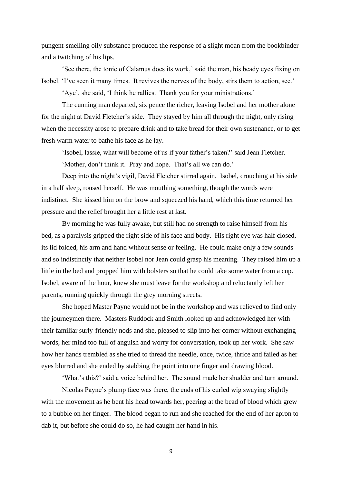pungent-smelling oily substance produced the response of a slight moan from the bookbinder and a twitching of his lips.

'See there, the tonic of Calamus does its work,' said the man, his beady eyes fixing on Isobel. 'I've seen it many times. It revives the nerves of the body, stirs them to action, see.'

'Aye', she said, 'I think he rallies. Thank you for your ministrations.'

The cunning man departed, six pence the richer, leaving Isobel and her mother alone for the night at David Fletcher's side. They stayed by him all through the night, only rising when the necessity arose to prepare drink and to take bread for their own sustenance, or to get fresh warm water to bathe his face as he lay.

'Isobel, lassie, what will become of us if your father's taken?' said Jean Fletcher.

'Mother, don't think it. Pray and hope. That's all we can do.'

Deep into the night's vigil, David Fletcher stirred again. Isobel, crouching at his side in a half sleep, roused herself. He was mouthing something, though the words were indistinct. She kissed him on the brow and squeezed his hand, which this time returned her pressure and the relief brought her a little rest at last.

By morning he was fully awake, but still had no strength to raise himself from his bed, as a paralysis gripped the right side of his face and body. His right eye was half closed, its lid folded, his arm and hand without sense or feeling. He could make only a few sounds and so indistinctly that neither Isobel nor Jean could grasp his meaning. They raised him up a little in the bed and propped him with bolsters so that he could take some water from a cup. Isobel, aware of the hour, knew she must leave for the workshop and reluctantly left her parents, running quickly through the grey morning streets.

She hoped Master Payne would not be in the workshop and was relieved to find only the journeymen there. Masters Ruddock and Smith looked up and acknowledged her with their familiar surly-friendly nods and she, pleased to slip into her corner without exchanging words, her mind too full of anguish and worry for conversation, took up her work. She saw how her hands trembled as she tried to thread the needle, once, twice, thrice and failed as her eyes blurred and she ended by stabbing the point into one finger and drawing blood.

'What's this?' said a voice behind her. The sound made her shudder and turn around.

Nicolas Payne's plump face was there, the ends of his curled wig swaying slightly with the movement as he bent his head towards her, peering at the bead of blood which grew to a bubble on her finger. The blood began to run and she reached for the end of her apron to dab it, but before she could do so, he had caught her hand in his.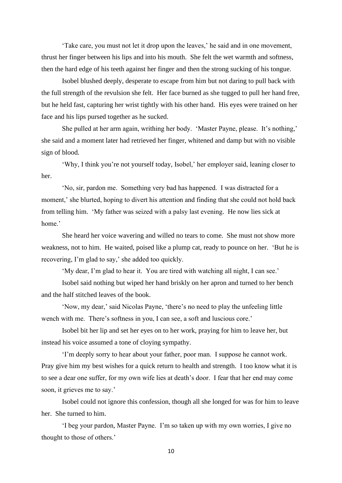'Take care, you must not let it drop upon the leaves,' he said and in one movement, thrust her finger between his lips and into his mouth. She felt the wet warmth and softness, then the hard edge of his teeth against her finger and then the strong sucking of his tongue.

Isobel blushed deeply, desperate to escape from him but not daring to pull back with the full strength of the revulsion she felt. Her face burned as she tugged to pull her hand free, but he held fast, capturing her wrist tightly with his other hand. His eyes were trained on her face and his lips pursed together as he sucked.

She pulled at her arm again, writhing her body. 'Master Payne, please. It's nothing,' she said and a moment later had retrieved her finger, whitened and damp but with no visible sign of blood.

'Why, I think you're not yourself today, Isobel,' her employer said, leaning closer to her.

'No, sir, pardon me. Something very bad has happened. I was distracted for a moment,' she blurted, hoping to divert his attention and finding that she could not hold back from telling him. 'My father was seized with a palsy last evening. He now lies sick at home.'

She heard her voice wavering and willed no tears to come. She must not show more weakness, not to him. He waited, poised like a plump cat, ready to pounce on her. 'But he is recovering, I'm glad to say,' she added too quickly.

'My dear, I'm glad to hear it. You are tired with watching all night, I can see.'

Isobel said nothing but wiped her hand briskly on her apron and turned to her bench and the half stitched leaves of the book.

'Now, my dear,' said Nicolas Payne, 'there's no need to play the unfeeling little wench with me. There's softness in you, I can see, a soft and luscious core.'

Isobel bit her lip and set her eyes on to her work, praying for him to leave her, but instead his voice assumed a tone of cloying sympathy.

'I'm deeply sorry to hear about your father, poor man. I suppose he cannot work. Pray give him my best wishes for a quick return to health and strength. I too know what it is to see a dear one suffer, for my own wife lies at death's door. I fear that her end may come soon, it grieves me to say.'

Isobel could not ignore this confession, though all she longed for was for him to leave her. She turned to him.

'I beg your pardon, Master Payne. I'm so taken up with my own worries, I give no thought to those of others.'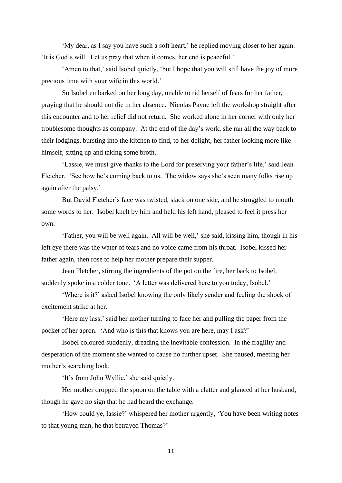'My dear, as I say you have such a soft heart,' he replied moving closer to her again. 'It is God's will. Let us pray that when it comes, her end is peaceful.'

'Amen to that,' said Isobel quietly, 'but I hope that you will still have the joy of more precious time with your wife in this world.'

So Isobel embarked on her long day, unable to rid herself of fears for her father, praying that he should not die in her absence. Nicolas Payne left the workshop straight after this encounter and to her relief did not return. She worked alone in her corner with only her troublesome thoughts as company. At the end of the day's work, she ran all the way back to their lodgings, bursting into the kitchen to find, to her delight, her father looking more like himself, sitting up and taking some broth.

'Lassie, we must give thanks to the Lord for preserving your father's life,' said Jean Fletcher. 'See how he's coming back to us. The widow says she's seen many folks rise up again after the palsy.'

But David Fletcher's face was twisted, slack on one side, and he struggled to mouth some words to her. Isobel knelt by him and held his left hand, pleased to feel it press her own.

'Father, you will be well again. All will be well,' she said, kissing him, though in his left eye there was the water of tears and no voice came from his throat. Isobel kissed her father again, then rose to help her mother prepare their supper.

Jean Fletcher, stirring the ingredients of the pot on the fire, her back to Isobel, suddenly spoke in a colder tone. 'A letter was delivered here to you today, Isobel.'

'Where is it?' asked Isobel knowing the only likely sender and feeling the shock of excitement strike at her.

'Here my lass,' said her mother turning to face her and pulling the paper from the pocket of her apron. 'And who is this that knows you are here, may I ask?'

Isobel coloured suddenly, dreading the inevitable confession. In the fragility and desperation of the moment she wanted to cause no further upset. She paused, meeting her mother's searching look.

'It's from John Wyllie,' she said quietly.

Her mother dropped the spoon on the table with a clatter and glanced at her husband, though he gave no sign that he had heard the exchange.

'How could ye, lassie?' whispered her mother urgently, 'You have been writing notes to that young man, he that betrayed Thomas?'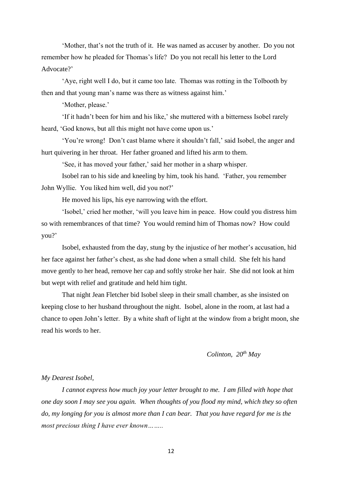'Mother, that's not the truth of it. He was named as accuser by another. Do you not remember how he pleaded for Thomas's life? Do you not recall his letter to the Lord Advocate?'

'Aye, right well I do, but it came too late. Thomas was rotting in the Tolbooth by then and that young man's name was there as witness against him.'

'Mother, please.'

'If it hadn't been for him and his like,' she muttered with a bitterness Isobel rarely heard, 'God knows, but all this might not have come upon us.'

'You're wrong! Don't cast blame where it shouldn't fall,' said Isobel, the anger and hurt quivering in her throat. Her father groaned and lifted his arm to them.

'See, it has moved your father,' said her mother in a sharp whisper.

Isobel ran to his side and kneeling by him, took his hand. 'Father, you remember John Wyllie. You liked him well, did you not?'

He moved his lips, his eye narrowing with the effort.

'Isobel,' cried her mother, 'will you leave him in peace. How could you distress him so with remembrances of that time? You would remind him of Thomas now? How could you?'

Isobel, exhausted from the day, stung by the injustice of her mother's accusation, hid her face against her father's chest, as she had done when a small child. She felt his hand move gently to her head, remove her cap and softly stroke her hair. She did not look at him but wept with relief and gratitude and held him tight.

That night Jean Fletcher bid Isobel sleep in their small chamber, as she insisted on keeping close to her husband throughout the night. Isobel, alone in the room, at last had a chance to open John's letter. By a white shaft of light at the window from a bright moon, she read his words to her.

# *Colinton, 20 th May*

#### *My Dearest Isobel,*

*I cannot express how much joy your letter brought to me. I am filled with hope that one day soon I may see you again. When thoughts of you flood my mind, which they so often do, my longing for you is almost more than I can bear. That you have regard for me is the most precious thing I have ever known……..*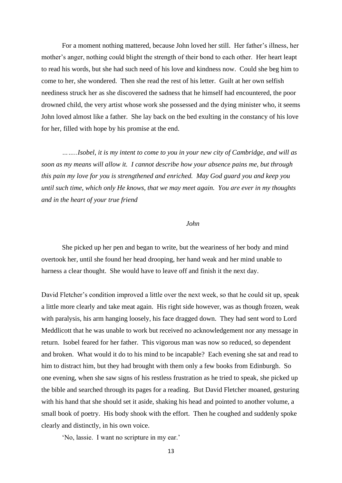For a moment nothing mattered, because John loved her still. Her father's illness, her mother's anger, nothing could blight the strength of their bond to each other. Her heart leapt to read his words, but she had such need of his love and kindness now. Could she beg him to come to her, she wondered. Then she read the rest of his letter. Guilt at her own selfish neediness struck her as she discovered the sadness that he himself had encountered, the poor drowned child, the very artist whose work she possessed and the dying minister who, it seems John loved almost like a father. She lay back on the bed exulting in the constancy of his love for her, filled with hope by his promise at the end.

*……..Isobel, it is my intent to come to you in your new city of Cambridge, and will as soon as my means will allow it. I cannot describe how your absence pains me, but through this pain my love for you is strengthened and enriched. May God guard you and keep you until such time, which only He knows, that we may meet again. You are ever in my thoughts and in the heart of your true friend*

# *John*

She picked up her pen and began to write, but the weariness of her body and mind overtook her, until she found her head drooping, her hand weak and her mind unable to harness a clear thought. She would have to leave off and finish it the next day.

David Fletcher's condition improved a little over the next week, so that he could sit up, speak a little more clearly and take meat again. His right side however, was as though frozen, weak with paralysis, his arm hanging loosely, his face dragged down. They had sent word to Lord Meddlicott that he was unable to work but received no acknowledgement nor any message in return. Isobel feared for her father. This vigorous man was now so reduced, so dependent and broken. What would it do to his mind to be incapable? Each evening she sat and read to him to distract him, but they had brought with them only a few books from Edinburgh. So one evening, when she saw signs of his restless frustration as he tried to speak, she picked up the bible and searched through its pages for a reading. But David Fletcher moaned, gesturing with his hand that she should set it aside, shaking his head and pointed to another volume, a small book of poetry. His body shook with the effort. Then he coughed and suddenly spoke clearly and distinctly, in his own voice.

'No, lassie. I want no scripture in my ear.'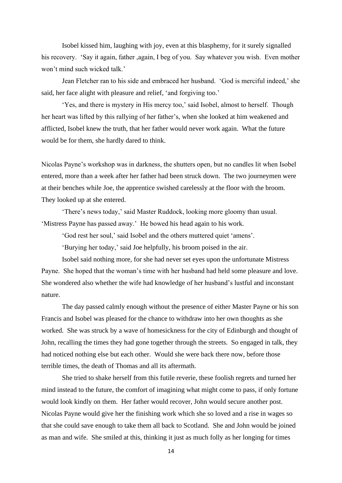Isobel kissed him, laughing with joy, even at this blasphemy, for it surely signalled his recovery. 'Say it again, father ,again, I beg of you. Say whatever you wish. Even mother won't mind such wicked talk.'

Jean Fletcher ran to his side and embraced her husband. 'God is merciful indeed,' she said, her face alight with pleasure and relief, 'and forgiving too.'

'Yes, and there is mystery in His mercy too,' said Isobel, almost to herself. Though her heart was lifted by this rallying of her father's, when she looked at him weakened and afflicted, Isobel knew the truth, that her father would never work again. What the future would be for them, she hardly dared to think.

Nicolas Payne's workshop was in darkness, the shutters open, but no candles lit when Isobel entered, more than a week after her father had been struck down. The two journeymen were at their benches while Joe, the apprentice swished carelessly at the floor with the broom. They looked up at she entered.

'There's news today,' said Master Ruddock, looking more gloomy than usual. 'Mistress Payne has passed away.' He bowed his head again to his work.

'God rest her soul,' said Isobel and the others muttered quiet 'amens'.

'Burying her today,' said Joe helpfully, his broom poised in the air.

Isobel said nothing more, for she had never set eyes upon the unfortunate Mistress Payne. She hoped that the woman's time with her husband had held some pleasure and love. She wondered also whether the wife had knowledge of her husband's lustful and inconstant nature.

The day passed calmly enough without the presence of either Master Payne or his son Francis and Isobel was pleased for the chance to withdraw into her own thoughts as she worked. She was struck by a wave of homesickness for the city of Edinburgh and thought of John, recalling the times they had gone together through the streets. So engaged in talk, they had noticed nothing else but each other. Would she were back there now, before those terrible times, the death of Thomas and all its aftermath.

She tried to shake herself from this futile reverie, these foolish regrets and turned her mind instead to the future, the comfort of imagining what might come to pass, if only fortune would look kindly on them. Her father would recover, John would secure another post. Nicolas Payne would give her the finishing work which she so loved and a rise in wages so that she could save enough to take them all back to Scotland. She and John would be joined as man and wife. She smiled at this, thinking it just as much folly as her longing for times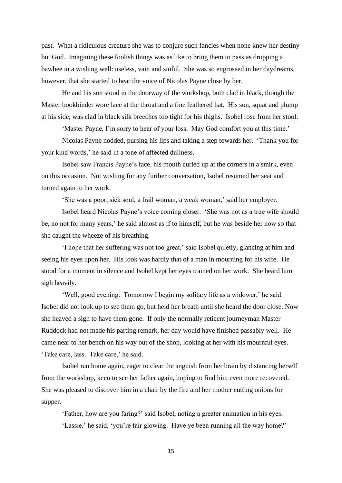past. What a ridiculous creature she was to conjure such fancies when none knew her destiny but God. Imagining these foolish things was as like to bring them to pass as dropping a bawbee in a wishing well: useless, vain and sinful. She was so engrossed in her daydreams, however, that she started to hear the voice of Nicolas Payne close by her.

He and his son stood in the doorway of the workshop, both clad in black, though the Master bookbinder wore lace at the throat and a fine feathered hat. His son, squat and plump at his side, was clad in black silk breeches too tight for his thighs. Isobel rose from her stool.

'Master Payne, I'm sorry to hear of your loss. May God comfort you at this time.'

Nicolas Payne nodded, pursing his lips and taking a step towards her. 'Thank you for your kind words,' he said in a tone of affected dullness.

Isobel saw Francis Payne's face, his mouth curled up at the corners in a smirk, even on this occasion. Not wishing for any further conversation, Isobel resumed her seat and turned again to her work.

'She was a poor, sick soul, a frail woman, a weak woman,' said her employer.

Isobel heard Nicolas Payne's voice coming closer. 'She was not as a true wife should be, no not for many years,' he said almost as if to himself, but he was beside her now so that she caught the wheeze of his breathing.

'I hope that her suffering was not too great,' said Isobel quietly, glancing at him and seeing his eyes upon her. His look was hardly that of a man in mourning for his wife. He stood for a moment in silence and Isobel kept her eyes trained on her work. She heard him sigh heavily.

'Well, good evening. Tomorrow I begin my solitary life as a widower,' he said. Isobel did not look up to see them go, but held her breath until she heard the door close. Now she heaved a sigh to have them gone. If only the normally reticent journeyman Master Ruddock had not made his parting remark, her day would have finished passably well. He came near to her bench on his way out of the shop, looking at her with his mournful eyes. 'Take care, lass. Take care,' he said.

Isobel ran home again, eager to clear the anguish from her brain by distancing herself from the workshop, keen to see her father again, hoping to find him even more recovered. She was pleased to discover him in a chair by the fire and her mother cutting onions for supper.

'Father, how are you faring?' said Isobel, noting a greater animation in his eyes. 'Lassie,' he said, 'you're fair glowing. Have ye been running all the way home?'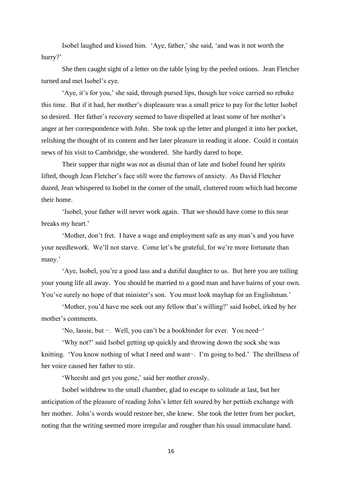Isobel laughed and kissed him. 'Aye, father,' she said, 'and was it not worth the hurry?'

She then caught sight of a letter on the table lying by the peeled onions. Jean Fletcher turned and met Isobel's eye.

'Aye, it's for you,' she said, through pursed lips, though her voice carried no rebuke this time. But if it had, her mother's displeasure was a small price to pay for the letter Isobel so desired. Her father's recovery seemed to have dispelled at least some of her mother's anger at her correspondence with John. She took up the letter and plunged it into her pocket, relishing the thought of its content and her later pleasure in reading it alone. Could it contain news of his visit to Cambridge, she wondered. She hardly dared to hope.

Their supper that night was not as dismal than of late and Isobel found her spirits lifted, though Jean Fletcher's face still wore the furrows of anxiety. As David Fletcher dozed, Jean whispered to Isobel in the corner of the small, cluttered room which had become their home.

'Isobel, your father will never work again. That we should have come to this near breaks my heart.'

'Mother, don't fret. I have a wage and employment safe as any man's and you have your needlework. We'll not starve. Come let's be grateful, for we're more fortunate than many.'

'Aye, Isobel, you're a good lass and a dutiful daughter to us. But here you are toiling your young life all away. You should be married to a good man and have bairns of your own. You've surely no hope of that minister's son. You must look mayhap for an Englishman.'

'Mother, you'd have me seek out any fellow that's willing?' said Isobel, irked by her mother's comments.

'No, lassie, but −. Well, you can't be a bookbinder for ever. You need−'

'Why not?' said Isobel getting up quickly and throwing down the sock she was knitting. 'You know nothing of what I need and want−. I'm going to bed.' The shrillness of her voice caused her father to stir.

'Wheesht and get you gone,' said her mother crossly.

Isobel withdrew to the small chamber, glad to escape to solitude at last, but her anticipation of the pleasure of reading John's letter felt soured by her pettish exchange with her mother. John's words would restore her, she knew. She took the letter from her pocket, noting that the writing seemed more irregular and rougher than his usual immaculate hand.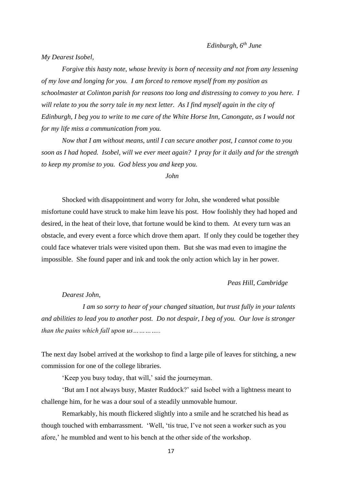*My Dearest Isobel,*

*Forgive this hasty note, whose brevity is born of necessity and not from any lessening of my love and longing for you. I am forced to remove myself from my position as schoolmaster at Colinton parish for reasons too long and distressing to convey to you here. I will relate to you the sorry tale in my next letter. As I find myself again in the city of Edinburgh, I beg you to write to me care of the White Horse Inn, Canongate, as I would not for my life miss a communication from you.* 

*Now that I am without means, until I can secure another post, I cannot come to you soon as I had hoped. Isobel, will we ever meet again? I pray for it daily and for the strength to keep my promise to you. God bless you and keep you.*

## *John*

Shocked with disappointment and worry for John, she wondered what possible misfortune could have struck to make him leave his post. How foolishly they had hoped and desired, in the heat of their love, that fortune would be kind to them. At every turn was an obstacle, and every event a force which drove them apart. If only they could be together they could face whatever trials were visited upon them. But she was mad even to imagine the impossible. She found paper and ink and took the only action which lay in her power.

### *Peas Hill, Cambridge*

#### *Dearest John,*

*I am so sorry to hear of your changed situation, but trust fully in your talents and abilities to lead you to another post. Do not despair, I beg of you. Our love is stronger than the pains which fall upon us…………..*

The next day Isobel arrived at the workshop to find a large pile of leaves for stitching, a new commission for one of the college libraries.

'Keep you busy today, that will,' said the journeyman.

'But am I not always busy, Master Ruddock?' said Isobel with a lightness meant to challenge him, for he was a dour soul of a steadily unmovable humour.

Remarkably, his mouth flickered slightly into a smile and he scratched his head as though touched with embarrassment. 'Well, 'tis true, I've not seen a worker such as you afore,' he mumbled and went to his bench at the other side of the workshop.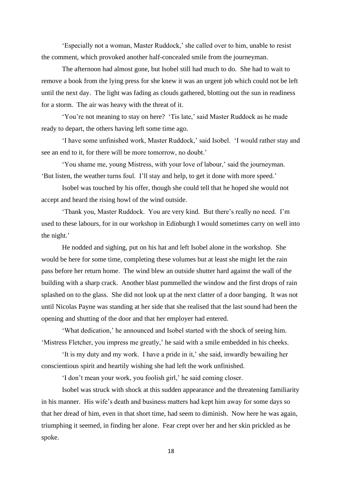'Especially not a woman, Master Ruddock,' she called over to him, unable to resist the comment, which provoked another half-concealed smile from the journeyman.

The afternoon had almost gone, but Isobel still had much to do. She had to wait to remove a book from the lying press for she knew it was an urgent job which could not be left until the next day. The light was fading as clouds gathered, blotting out the sun in readiness for a storm. The air was heavy with the threat of it.

'You're not meaning to stay on here? 'Tis late,' said Master Ruddock as he made ready to depart, the others having left some time ago.

'I have some unfinished work, Master Ruddock,' said Isobel. 'I would rather stay and see an end to it, for there will be more tomorrow, no doubt.'

'You shame me, young Mistress, with your love of labour,' said the journeyman. 'But listen, the weather turns foul. I'll stay and help, to get it done with more speed.'

Isobel was touched by his offer, though she could tell that he hoped she would not accept and heard the rising howl of the wind outside.

'Thank you, Master Ruddock. You are very kind. But there's really no need. I'm used to these labours, for in our workshop in Edinburgh I would sometimes carry on well into the night.'

He nodded and sighing, put on his hat and left Isobel alone in the workshop. She would be here for some time, completing these volumes but at least she might let the rain pass before her return home. The wind blew an outside shutter hard against the wall of the building with a sharp crack. Another blast pummelled the window and the first drops of rain splashed on to the glass. She did not look up at the next clatter of a door banging. It was not until Nicolas Payne was standing at her side that she realised that the last sound had been the opening and shutting of the door and that her employer had entered.

'What dedication,' he announced and Isobel started with the shock of seeing him. 'Mistress Fletcher, you impress me greatly,' he said with a smile embedded in his cheeks.

'It is my duty and my work. I have a pride in it,' she said, inwardly bewailing her conscientious spirit and heartily wishing she had left the work unfinished.

'I don't mean your work, you foolish girl,' he said coming closer.

Isobel was struck with shock at this sudden appearance and the threatening familiarity in his manner. His wife's death and business matters had kept him away for some days so that her dread of him, even in that short time, had seem to diminish. Now here he was again, triumphing it seemed, in finding her alone. Fear crept over her and her skin prickled as he spoke.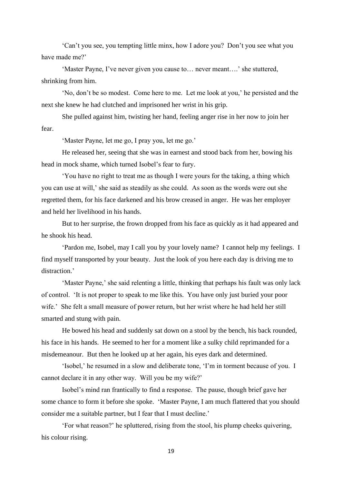'Can't you see, you tempting little minx, how I adore you? Don't you see what you have made me?'

'Master Payne, I've never given you cause to… never meant….' she stuttered, shrinking from him.

'No, don't be so modest. Come here to me. Let me look at you,' he persisted and the next she knew he had clutched and imprisoned her wrist in his grip.

She pulled against him, twisting her hand, feeling anger rise in her now to join her fear.

'Master Payne, let me go, I pray you, let me go.'

He released her, seeing that she was in earnest and stood back from her, bowing his head in mock shame, which turned Isobel's fear to fury.

'You have no right to treat me as though I were yours for the taking, a thing which you can use at will,' she said as steadily as she could. As soon as the words were out she regretted them, for his face darkened and his brow creased in anger. He was her employer and held her livelihood in his hands.

But to her surprise, the frown dropped from his face as quickly as it had appeared and he shook his head.

'Pardon me, Isobel, may I call you by your lovely name? I cannot help my feelings. I find myself transported by your beauty. Just the look of you here each day is driving me to distraction.'

'Master Payne,' she said relenting a little, thinking that perhaps his fault was only lack of control. 'It is not proper to speak to me like this. You have only just buried your poor wife.' She felt a small measure of power return, but her wrist where he had held her still smarted and stung with pain.

He bowed his head and suddenly sat down on a stool by the bench, his back rounded, his face in his hands. He seemed to her for a moment like a sulky child reprimanded for a misdemeanour. But then he looked up at her again, his eyes dark and determined.

'Isobel,' he resumed in a slow and deliberate tone, 'I'm in torment because of you. I cannot declare it in any other way. Will you be my wife?'

Isobel's mind ran frantically to find a response. The pause, though brief gave her some chance to form it before she spoke. 'Master Payne, I am much flattered that you should consider me a suitable partner, but I fear that I must decline.'

'For what reason?' he spluttered, rising from the stool, his plump cheeks quivering, his colour rising.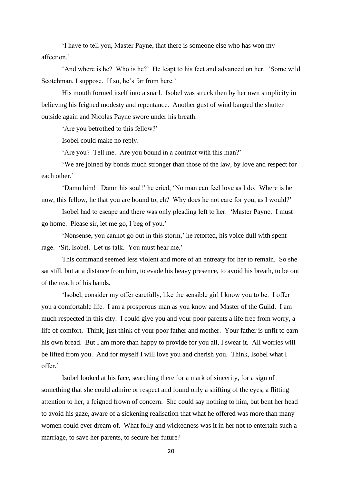'I have to tell you, Master Payne, that there is someone else who has won my affection.'

'And where is he? Who is he?' He leapt to his feet and advanced on her. 'Some wild Scotchman, I suppose. If so, he's far from here.'

His mouth formed itself into a snarl. Isobel was struck then by her own simplicity in believing his feigned modesty and repentance. Another gust of wind banged the shutter outside again and Nicolas Payne swore under his breath.

'Are you betrothed to this fellow?'

Isobel could make no reply.

'Are you? Tell me. Are you bound in a contract with this man?'

'We are joined by bonds much stronger than those of the law, by love and respect for each other.'

'Damn him! Damn his soul!' he cried, 'No man can feel love as I do. Where is he now, this fellow, he that you are bound to, eh? Why does he not care for you, as I would?'

Isobel had to escape and there was only pleading left to her. 'Master Payne. I must go home. Please sir, let me go, I beg of you.'

'Nonsense, you cannot go out in this storm,' he retorted, his voice dull with spent rage. 'Sit, Isobel. Let us talk. You must hear me.'

This command seemed less violent and more of an entreaty for her to remain. So she sat still, but at a distance from him, to evade his heavy presence, to avoid his breath, to be out of the reach of his hands.

'Isobel, consider my offer carefully, like the sensible girl I know you to be. I offer you a comfortable life. I am a prosperous man as you know and Master of the Guild. I am much respected in this city. I could give you and your poor parents a life free from worry, a life of comfort. Think, just think of your poor father and mother. Your father is unfit to earn his own bread. But I am more than happy to provide for you all, I swear it. All worries will be lifted from you. And for myself I will love you and cherish you. Think, Isobel what I offer.'

Isobel looked at his face, searching there for a mark of sincerity, for a sign of something that she could admire or respect and found only a shifting of the eyes, a flitting attention to her, a feigned frown of concern. She could say nothing to him, but bent her head to avoid his gaze, aware of a sickening realisation that what he offered was more than many women could ever dream of. What folly and wickedness was it in her not to entertain such a marriage, to save her parents, to secure her future?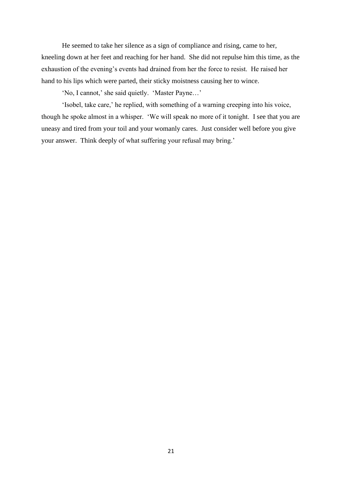He seemed to take her silence as a sign of compliance and rising, came to her, kneeling down at her feet and reaching for her hand. She did not repulse him this time, as the exhaustion of the evening's events had drained from her the force to resist. He raised her hand to his lips which were parted, their sticky moistness causing her to wince.

'No, I cannot,' she said quietly. 'Master Payne…'

'Isobel, take care,' he replied, with something of a warning creeping into his voice, though he spoke almost in a whisper. 'We will speak no more of it tonight. I see that you are uneasy and tired from your toil and your womanly cares. Just consider well before you give your answer. Think deeply of what suffering your refusal may bring.'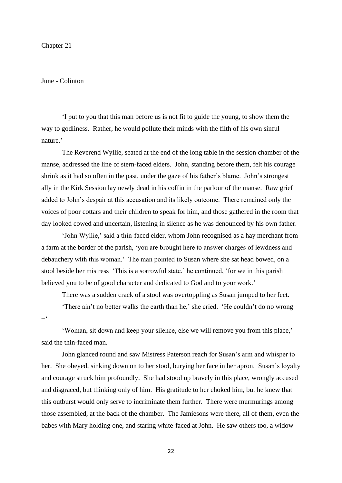## Chapter 21

# June - Colinton

'I put to you that this man before us is not fit to guide the young, to show them the way to godliness. Rather, he would pollute their minds with the filth of his own sinful nature.'

The Reverend Wyllie, seated at the end of the long table in the session chamber of the manse, addressed the line of stern-faced elders. John, standing before them, felt his courage shrink as it had so often in the past, under the gaze of his father's blame. John's strongest ally in the Kirk Session lay newly dead in his coffin in the parlour of the manse. Raw grief added to John's despair at this accusation and its likely outcome. There remained only the voices of poor cottars and their children to speak for him, and those gathered in the room that day looked cowed and uncertain, listening in silence as he was denounced by his own father.

'John Wyllie,' said a thin-faced elder, whom John recognised as a hay merchant from a farm at the border of the parish, 'you are brought here to answer charges of lewdness and debauchery with this woman.' The man pointed to Susan where she sat head bowed, on a stool beside her mistress 'This is a sorrowful state,' he continued, 'for we in this parish believed you to be of good character and dedicated to God and to your work.'

There was a sudden crack of a stool was overtoppling as Susan jumped to her feet. 'There ain't no better walks the earth than he,' she cried. 'He couldn't do no wrong −'

'Woman, sit down and keep your silence, else we will remove you from this place,' said the thin-faced man.

John glanced round and saw Mistress Paterson reach for Susan's arm and whisper to her. She obeyed, sinking down on to her stool, burying her face in her apron. Susan's loyalty and courage struck him profoundly. She had stood up bravely in this place, wrongly accused and disgraced, but thinking only of him. His gratitude to her choked him, but he knew that this outburst would only serve to incriminate them further. There were murmurings among those assembled, at the back of the chamber. The Jamiesons were there, all of them, even the babes with Mary holding one, and staring white-faced at John. He saw others too, a widow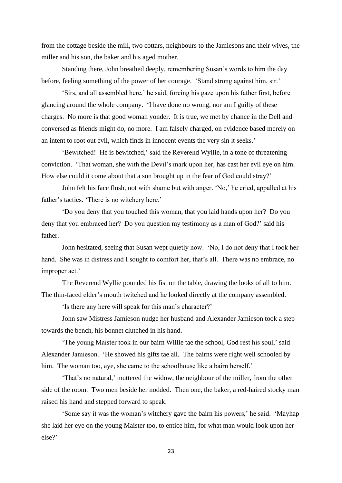from the cottage beside the mill, two cottars, neighbours to the Jamiesons and their wives, the miller and his son, the baker and his aged mother.

Standing there, John breathed deeply, remembering Susan's words to him the day before, feeling something of the power of her courage. 'Stand strong against him, sir.'

'Sirs, and all assembled here,' he said, forcing his gaze upon his father first, before glancing around the whole company. 'I have done no wrong, nor am I guilty of these charges. No more is that good woman yonder. It is true, we met by chance in the Dell and conversed as friends might do, no more. I am falsely charged, on evidence based merely on an intent to root out evil, which finds in innocent events the very sin it seeks.'

'Bewitched! He is bewitched,' said the Reverend Wyllie, in a tone of threatening conviction. 'That woman, she with the Devil's mark upon her, has cast her evil eye on him. How else could it come about that a son brought up in the fear of God could stray?'

John felt his face flush, not with shame but with anger. 'No,' he cried, appalled at his father's tactics. 'There is no witchery here.'

'Do you deny that you touched this woman, that you laid hands upon her? Do you deny that you embraced her? Do you question my testimony as a man of God?' said his father.

John hesitated, seeing that Susan wept quietly now. 'No, I do not deny that I took her hand. She was in distress and I sought to comfort her, that's all. There was no embrace, no improper act.'

The Reverend Wyllie pounded his fist on the table, drawing the looks of all to him. The thin-faced elder's mouth twitched and he looked directly at the company assembled.

'Is there any here will speak for this man's character?'

John saw Mistress Jamieson nudge her husband and Alexander Jamieson took a step towards the bench, his bonnet clutched in his hand.

'The young Maister took in our bairn Willie tae the school, God rest his soul,' said Alexander Jamieson. 'He showed his gifts tae all. The bairns were right well schooled by him. The woman too, aye, she came to the schoolhouse like a bairn herself.'

'That's no natural,' muttered the widow, the neighbour of the miller, from the other side of the room. Two men beside her nodded. Then one, the baker, a red-haired stocky man raised his hand and stepped forward to speak.

'Some say it was the woman's witchery gave the bairn his powers,' he said. 'Mayhap she laid her eye on the young Maister too, to entice him, for what man would look upon her else?'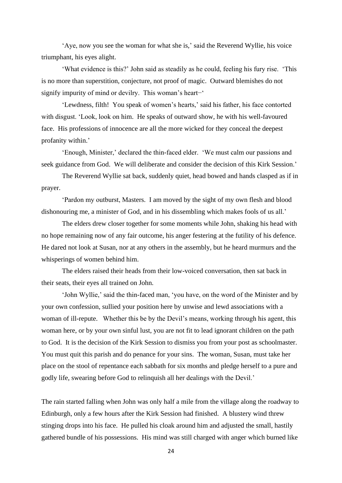'Aye, now you see the woman for what she is,' said the Reverend Wyllie, his voice triumphant, his eyes alight.

'What evidence is this?' John said as steadily as he could, feeling his fury rise. 'This is no more than superstition, conjecture, not proof of magic. Outward blemishes do not signify impurity of mind or devilry. This woman's heart−'

'Lewdness, filth! You speak of women's hearts,' said his father, his face contorted with disgust. 'Look, look on him. He speaks of outward show, he with his well-favoured face. His professions of innocence are all the more wicked for they conceal the deepest profanity within.'

'Enough, Minister,' declared the thin-faced elder. 'We must calm our passions and seek guidance from God. We will deliberate and consider the decision of this Kirk Session.'

The Reverend Wyllie sat back, suddenly quiet, head bowed and hands clasped as if in prayer.

'Pardon my outburst, Masters. I am moved by the sight of my own flesh and blood dishonouring me, a minister of God, and in his dissembling which makes fools of us all.'

The elders drew closer together for some moments while John, shaking his head with no hope remaining now of any fair outcome, his anger festering at the futility of his defence. He dared not look at Susan, nor at any others in the assembly, but he heard murmurs and the whisperings of women behind him.

The elders raised their heads from their low-voiced conversation, then sat back in their seats, their eyes all trained on John.

'John Wyllie,' said the thin-faced man, 'you have, on the word of the Minister and by your own confession, sullied your position here by unwise and lewd associations with a woman of ill-repute. Whether this be by the Devil's means, working through his agent, this woman here, or by your own sinful lust, you are not fit to lead ignorant children on the path to God. It is the decision of the Kirk Session to dismiss you from your post as schoolmaster. You must quit this parish and do penance for your sins. The woman, Susan, must take her place on the stool of repentance each sabbath for six months and pledge herself to a pure and godly life, swearing before God to relinquish all her dealings with the Devil.'

The rain started falling when John was only half a mile from the village along the roadway to Edinburgh, only a few hours after the Kirk Session had finished. A blustery wind threw stinging drops into his face. He pulled his cloak around him and adjusted the small, hastily gathered bundle of his possessions. His mind was still charged with anger which burned like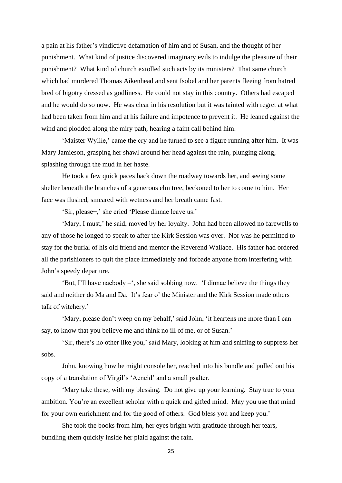a pain at his father's vindictive defamation of him and of Susan, and the thought of her punishment. What kind of justice discovered imaginary evils to indulge the pleasure of their punishment? What kind of church extolled such acts by its ministers? That same church which had murdered Thomas Aikenhead and sent Isobel and her parents fleeing from hatred bred of bigotry dressed as godliness. He could not stay in this country. Others had escaped and he would do so now. He was clear in his resolution but it was tainted with regret at what had been taken from him and at his failure and impotence to prevent it. He leaned against the wind and plodded along the miry path, hearing a faint call behind him.

'Maister Wyllie,' came the cry and he turned to see a figure running after him. It was Mary Jamieson, grasping her shawl around her head against the rain, plunging along, splashing through the mud in her haste.

He took a few quick paces back down the roadway towards her, and seeing some shelter beneath the branches of a generous elm tree, beckoned to her to come to him. Her face was flushed, smeared with wetness and her breath came fast.

'Sir, please−,' she cried 'Please dinnae leave us.'

'Mary, I must,' he said, moved by her loyalty. John had been allowed no farewells to any of those he longed to speak to after the Kirk Session was over. Nor was he permitted to stay for the burial of his old friend and mentor the Reverend Wallace. His father had ordered all the parishioners to quit the place immediately and forbade anyone from interfering with John's speedy departure.

'But, I'll have naebody –', she said sobbing now. 'I dinnae believe the things they said and neither do Ma and Da. It's fear o' the Minister and the Kirk Session made others talk of witchery.'

'Mary, please don't weep on my behalf,' said John, 'it heartens me more than I can say, to know that you believe me and think no ill of me, or of Susan.'

'Sir, there's no other like you,' said Mary, looking at him and sniffing to suppress her sobs.

John, knowing how he might console her, reached into his bundle and pulled out his copy of a translation of Virgil's 'Aeneid' and a small psalter.

'Mary take these, with my blessing. Do not give up your learning. Stay true to your ambition. You're an excellent scholar with a quick and gifted mind. May you use that mind for your own enrichment and for the good of others. God bless you and keep you.'

She took the books from him, her eyes bright with gratitude through her tears, bundling them quickly inside her plaid against the rain.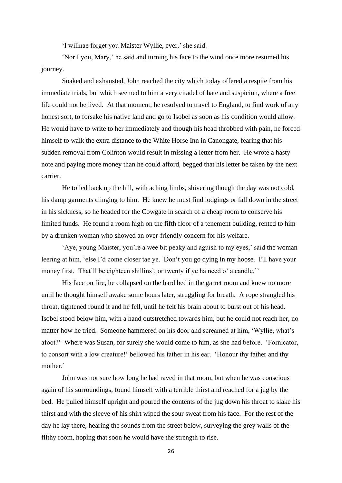'I willnae forget you Maister Wyllie, ever,' she said.

'Nor I you, Mary,' he said and turning his face to the wind once more resumed his journey.

Soaked and exhausted, John reached the city which today offered a respite from his immediate trials, but which seemed to him a very citadel of hate and suspicion, where a free life could not be lived. At that moment, he resolved to travel to England, to find work of any honest sort, to forsake his native land and go to Isobel as soon as his condition would allow. He would have to write to her immediately and though his head throbbed with pain, he forced himself to walk the extra distance to the White Horse Inn in Canongate, fearing that his sudden removal from Colinton would result in missing a letter from her. He wrote a hasty note and paying more money than he could afford, begged that his letter be taken by the next carrier.

He toiled back up the hill, with aching limbs, shivering though the day was not cold, his damp garments clinging to him. He knew he must find lodgings or fall down in the street in his sickness, so he headed for the Cowgate in search of a cheap room to conserve his limited funds. He found a room high on the fifth floor of a tenement building, rented to him by a drunken woman who showed an over-friendly concern for his welfare.

'Aye, young Maister, you're a wee bit peaky and aguish to my eyes,' said the woman leering at him, 'else I'd come closer tae ye. Don't you go dying in my hoose. I'll have your money first. That'll be eighteen shillins', or twenty if ye ha need o' a candle.''

His face on fire, he collapsed on the hard bed in the garret room and knew no more until he thought himself awake some hours later, struggling for breath. A rope strangled his throat, tightened round it and he fell, until he felt his brain about to burst out of his head. Isobel stood below him, with a hand outstretched towards him, but he could not reach her, no matter how he tried. Someone hammered on his door and screamed at him, 'Wyllie, what's afoot?' Where was Susan, for surely she would come to him, as she had before. 'Fornicator, to consort with a low creature!' bellowed his father in his ear. 'Honour thy father and thy mother.'

John was not sure how long he had raved in that room, but when he was conscious again of his surroundings, found himself with a terrible thirst and reached for a jug by the bed. He pulled himself upright and poured the contents of the jug down his throat to slake his thirst and with the sleeve of his shirt wiped the sour sweat from his face. For the rest of the day he lay there, hearing the sounds from the street below, surveying the grey walls of the filthy room, hoping that soon he would have the strength to rise.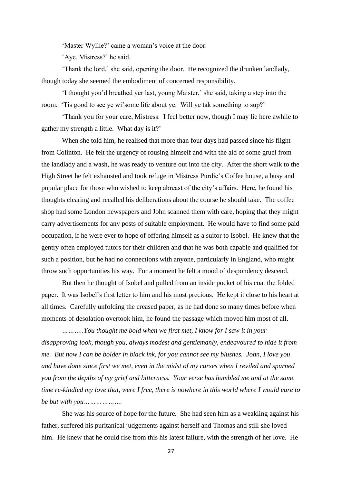'Master Wyllie?' came a woman's voice at the door.

'Aye, Mistress?' he said.

'Thank the lord,' she said, opening the door. He recognized the drunken landlady, though today she seemed the embodiment of concerned responsibility.

'I thought you'd breathed yer last, young Maister,' she said, taking a step into the room. 'Tis good to see ye wi'some life about ye. Will ye tak something to sup?'

'Thank you for your care, Mistress. I feel better now, though I may lie here awhile to gather my strength a little. What day is it?'

When she told him, he realised that more than four days had passed since his flight from Colinton. He felt the urgency of rousing himself and with the aid of some gruel from the landlady and a wash, he was ready to venture out into the city. After the short walk to the High Street he felt exhausted and took refuge in Mistress Purdie's Coffee house, a busy and popular place for those who wished to keep abreast of the city's affairs. Here, he found his thoughts clearing and recalled his deliberations about the course he should take. The coffee shop had some London newspapers and John scanned them with care, hoping that they might carry advertisements for any posts of suitable employment. He would have to find some paid occupation, if he were ever to hope of offering himself as a suitor to Isobel. He knew that the gentry often employed tutors for their children and that he was both capable and qualified for such a position, but he had no connections with anyone, particularly in England, who might throw such opportunities his way. For a moment he felt a mood of despondency descend.

But then he thought of Isobel and pulled from an inside pocket of his coat the folded paper. It was Isobel's first letter to him and his most precious. He kept it close to his heart at all times. Carefully unfolding the creased paper, as he had done so many times before when moments of desolation overtook him, he found the passage which moved him most of all.

*………..You thought me bold when we first met, I know for I saw it in your disapproving look, though you, always modest and gentlemanly, endeavoured to hide it from me. But now I can be bolder in black ink, for you cannot see my blushes. John, I love you and have done since first we met, even in the midst of my curses when I reviled and spurned you from the depths of my grief and bitterness. Your verse has humbled me and at the same time re-kindled my love that, were I free, there is nowhere in this world where I would care to be but with you……………….*

She was his source of hope for the future. She had seen him as a weakling against his father, suffered his puritanical judgements against herself and Thomas and still she loved him. He knew that he could rise from this his latest failure, with the strength of her love. He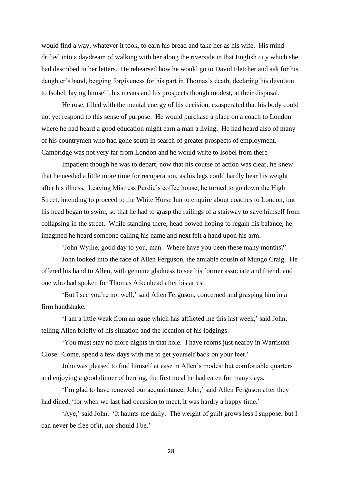would find a way, whatever it took, to earn his bread and take her as his wife. His mind drifted into a daydream of walking with her along the riverside in that English city which she had described in her letters. He rehearsed how he would go to David Fletcher and ask for his daughter's hand, begging forgiveness for his part in Thomas's death, declaring his devotion to Isobel, laying himself, his means and his prospects though modest, at their disposal.

He rose, filled with the mental energy of his decision, exasperated that his body could not yet respond to this sense of purpose. He would purchase a place on a coach to London where he had heard a good education might earn a man a living. He had heard also of many of his countrymen who had gone south in search of greater prospects of employment. Cambridge was not very far from London and he would write to Isobel from there

Impatient though he was to depart, now that his course of action was clear, he knew that he needed a little more time for recuperation, as his legs could hardly bear his weight after his illness. Leaving Mistress Purdie's coffee house, he turned to go down the High Street, intending to proceed to the White Horse Inn to enquire about coaches to London, but his head began to swim, so that he had to grasp the railings of a stairway to save himself from collapsing in the street. While standing there, head bowed hoping to regain his balance, he imagined he heard someone calling his name and next felt a hand upon his arm.

'John Wyllie, good day to you, man. Where have you been these many months?' John looked into the face of Allen Ferguson, the amiable cousin of Mungo Craig. He

offered his hand to Allen, with genuine gladness to see his former associate and friend, and one who had spoken for Thomas Aikenhead after his arrest.

'But I see you're not well,' said Allen Ferguson, concerned and grasping him in a firm handshake.

'I am a little weak from an ague which has afflicted me this last week,' said John, telling Allen briefly of his situation and the location of his lodgings.

'You must stay no more nights in that hole. I have rooms just nearby in Warriston Close. Come, spend a few days with me to get yourself back on your feet.'

John was pleased to find himself at ease in Allen's modest but comfortable quarters and enjoying a good dinner of herring, the first meal he had eaten for many days.

'I'm glad to have renewed our acquaintance, John,' said Allen Ferguson after they had dined, 'for when we last had occasion to meet, it was hardly a happy time.'

'Aye,' said John. 'It haunts me daily. The weight of guilt grows less I suppose, but I can never be free of it, nor should I be.'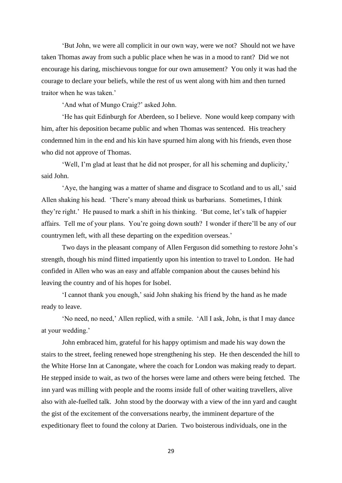'But John, we were all complicit in our own way, were we not? Should not we have taken Thomas away from such a public place when he was in a mood to rant? Did we not encourage his daring, mischievous tongue for our own amusement? You only it was had the courage to declare your beliefs, while the rest of us went along with him and then turned traitor when he was taken.'

'And what of Mungo Craig?' asked John.

'He has quit Edinburgh for Aberdeen, so I believe. None would keep company with him, after his deposition became public and when Thomas was sentenced. His treachery condemned him in the end and his kin have spurned him along with his friends, even those who did not approve of Thomas.

'Well, I'm glad at least that he did not prosper, for all his scheming and duplicity,' said John.

'Aye, the hanging was a matter of shame and disgrace to Scotland and to us all,' said Allen shaking his head. 'There's many abroad think us barbarians. Sometimes, I think they're right.' He paused to mark a shift in his thinking. 'But come, let's talk of happier affairs. Tell me of your plans. You're going down south? I wonder if there'll be any of our countrymen left, with all these departing on the expedition overseas.'

Two days in the pleasant company of Allen Ferguson did something to restore John's strength, though his mind flitted impatiently upon his intention to travel to London. He had confided in Allen who was an easy and affable companion about the causes behind his leaving the country and of his hopes for Isobel.

'I cannot thank you enough,' said John shaking his friend by the hand as he made ready to leave.

'No need, no need,' Allen replied, with a smile. 'All I ask, John, is that I may dance at your wedding.'

John embraced him, grateful for his happy optimism and made his way down the stairs to the street, feeling renewed hope strengthening his step. He then descended the hill to the White Horse Inn at Canongate, where the coach for London was making ready to depart. He stepped inside to wait, as two of the horses were lame and others were being fetched. The inn yard was milling with people and the rooms inside full of other waiting travellers, alive also with ale-fuelled talk. John stood by the doorway with a view of the inn yard and caught the gist of the excitement of the conversations nearby, the imminent departure of the expeditionary fleet to found the colony at Darien. Two boisterous individuals, one in the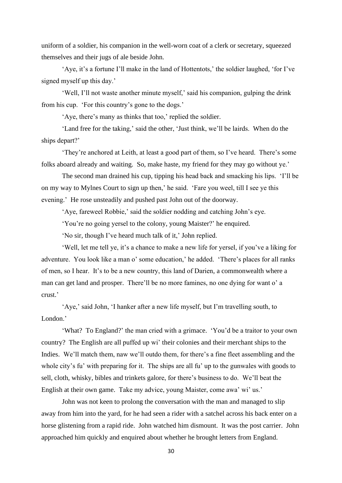uniform of a soldier, his companion in the well-worn coat of a clerk or secretary, squeezed themselves and their jugs of ale beside John.

'Aye, it's a fortune I'll make in the land of Hottentots,' the soldier laughed, 'for I've signed myself up this day.'

'Well, I'll not waste another minute myself,' said his companion, gulping the drink from his cup. 'For this country's gone to the dogs.'

'Aye, there's many as thinks that too,' replied the soldier.

'Land free for the taking,' said the other, 'Just think, we'll be lairds. When do the ships depart?'

'They're anchored at Leith, at least a good part of them, so I've heard. There's some folks aboard already and waiting. So, make haste, my friend for they may go without ye.'

The second man drained his cup, tipping his head back and smacking his lips. 'I'll be on my way to Mylnes Court to sign up then,' he said. 'Fare you weel, till I see ye this evening.' He rose unsteadily and pushed past John out of the doorway.

'Aye, fareweel Robbie,' said the soldier nodding and catching John's eye.

'You're no going yersel to the colony, young Maister?' he enquired.

'No sir, though I've heard much talk of it,' John replied.

'Well, let me tell ye, it's a chance to make a new life for yersel, if you've a liking for adventure. You look like a man o' some education,' he added. 'There's places for all ranks of men, so I hear. It's to be a new country, this land of Darien, a commonwealth where a man can get land and prosper. There'll be no more famines, no one dying for want o' a crust.'

'Aye,' said John, 'I hanker after a new life myself, but I'm travelling south, to London.'

'What? To England?' the man cried with a grimace. 'You'd be a traitor to your own country? The English are all puffed up wi' their colonies and their merchant ships to the Indies. We'll match them, naw we'll outdo them, for there's a fine fleet assembling and the whole city's fu' with preparing for it. The ships are all fu' up to the gunwales with goods to sell, cloth, whisky, bibles and trinkets galore, for there's business to do. We'll beat the English at their own game. Take my advice, young Maister, come awa' wi' us.'

John was not keen to prolong the conversation with the man and managed to slip away from him into the yard, for he had seen a rider with a satchel across his back enter on a horse glistening from a rapid ride. John watched him dismount. It was the post carrier. John approached him quickly and enquired about whether he brought letters from England.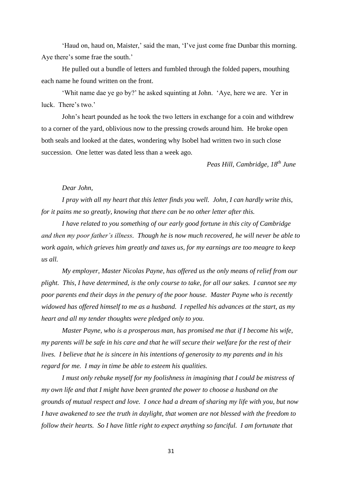'Haud on, haud on, Maister,' said the man, 'I've just come frae Dunbar this morning. Aye there's some frae the south.'

He pulled out a bundle of letters and fumbled through the folded papers, mouthing each name he found written on the front.

'Whit name dae ye go by?' he asked squinting at John. 'Aye, here we are. Yer in luck. There's two.'

John's heart pounded as he took the two letters in exchange for a coin and withdrew to a corner of the yard, oblivious now to the pressing crowds around him. He broke open both seals and looked at the dates, wondering why Isobel had written two in such close succession. One letter was dated less than a week ago.

*Peas Hill, Cambridge, 18th June*

### *Dear John,*

*I pray with all my heart that this letter finds you well. John, I can hardly write this, for it pains me so greatly, knowing that there can be no other letter after this.* 

*I have related to you something of our early good fortune in this city of Cambridge and then my poor father's illness. Though he is now much recovered, he will never be able to work again, which grieves him greatly and taxes us, for my earnings are too meagre to keep us all.* 

*My employer, Master Nicolas Payne, has offered us the only means of relief from our plight. This, I have determined, is the only course to take, for all our sakes. I cannot see my poor parents end their days in the penury of the poor house. Master Payne who is recently widowed has offered himself to me as a husband. I repelled his advances at the start, as my heart and all my tender thoughts were pledged only to you.* 

*Master Payne, who is a prosperous man, has promised me that if I become his wife, my parents will be safe in his care and that he will secure their welfare for the rest of their lives. I believe that he is sincere in his intentions of generosity to my parents and in his regard for me. I may in time be able to esteem his qualities.* 

*I must only rebuke myself for my foolishness in imagining that I could be mistress of my own life and that I might have been granted the power to choose a husband on the grounds of mutual respect and love. I once had a dream of sharing my life with you, but now I have awakened to see the truth in daylight, that women are not blessed with the freedom to follow their hearts. So I have little right to expect anything so fanciful. I am fortunate that*